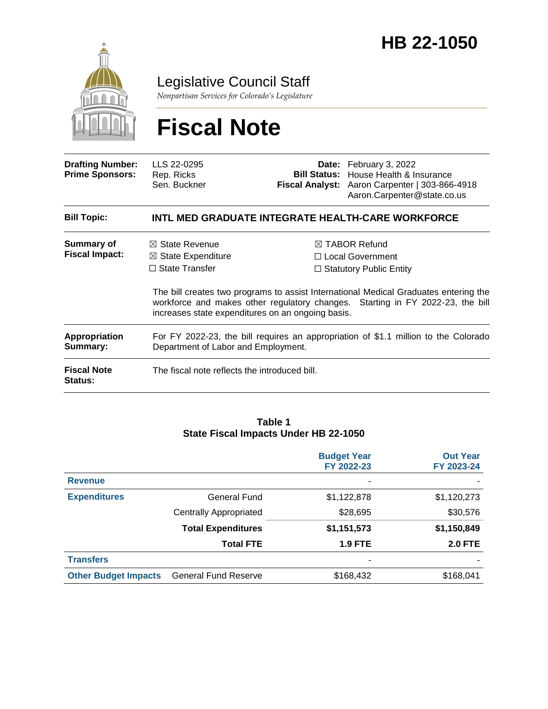

### Legislative Council Staff

*Nonpartisan Services for Colorado's Legislature*

# **Fiscal Note**

| <b>Drafting Number:</b><br><b>Prime Sponsors:</b> | LLS 22-0295<br>Rep. Ricks<br>Sen. Buckner                                                                                                                                                                                   |  | Date: February 3, 2022<br>Bill Status: House Health & Insurance<br>Fiscal Analyst: Aaron Carpenter   303-866-4918<br>Aaron.Carpenter@state.co.us |  |
|---------------------------------------------------|-----------------------------------------------------------------------------------------------------------------------------------------------------------------------------------------------------------------------------|--|--------------------------------------------------------------------------------------------------------------------------------------------------|--|
| <b>Bill Topic:</b>                                |                                                                                                                                                                                                                             |  | INTL MED GRADUATE INTEGRATE HEALTH-CARE WORKFORCE                                                                                                |  |
| Summary of<br><b>Fiscal Impact:</b>               | $\boxtimes$ State Revenue                                                                                                                                                                                                   |  | $\boxtimes$ TABOR Refund                                                                                                                         |  |
|                                                   | $\boxtimes$ State Expenditure<br>$\Box$ State Transfer                                                                                                                                                                      |  | $\Box$ Local Government<br>$\Box$ Statutory Public Entity                                                                                        |  |
|                                                   | The bill creates two programs to assist International Medical Graduates entering the<br>workforce and makes other regulatory changes. Starting in FY 2022-23, the bill<br>increases state expenditures on an ongoing basis. |  |                                                                                                                                                  |  |
| <b>Appropriation</b><br>Summary:                  | For FY 2022-23, the bill requires an appropriation of \$1.1 million to the Colorado<br>Department of Labor and Employment.                                                                                                  |  |                                                                                                                                                  |  |
| <b>Fiscal Note</b><br>Status:                     | The fiscal note reflects the introduced bill.                                                                                                                                                                               |  |                                                                                                                                                  |  |

#### **Table 1 State Fiscal Impacts Under HB 22-1050**

|                             |                               | <b>Budget Year</b><br>FY 2022-23 | <b>Out Year</b><br>FY 2023-24 |
|-----------------------------|-------------------------------|----------------------------------|-------------------------------|
| <b>Revenue</b>              |                               | ۰                                |                               |
| <b>Expenditures</b>         | General Fund                  | \$1,122,878                      | \$1,120,273                   |
|                             | <b>Centrally Appropriated</b> | \$28,695                         | \$30,576                      |
|                             | <b>Total Expenditures</b>     | \$1,151,573                      | \$1,150,849                   |
|                             | <b>Total FTE</b>              | <b>1.9 FTE</b>                   | <b>2.0 FTE</b>                |
| <b>Transfers</b>            |                               | $\overline{\phantom{a}}$         |                               |
| <b>Other Budget Impacts</b> | <b>General Fund Reserve</b>   | \$168,432                        | \$168,041                     |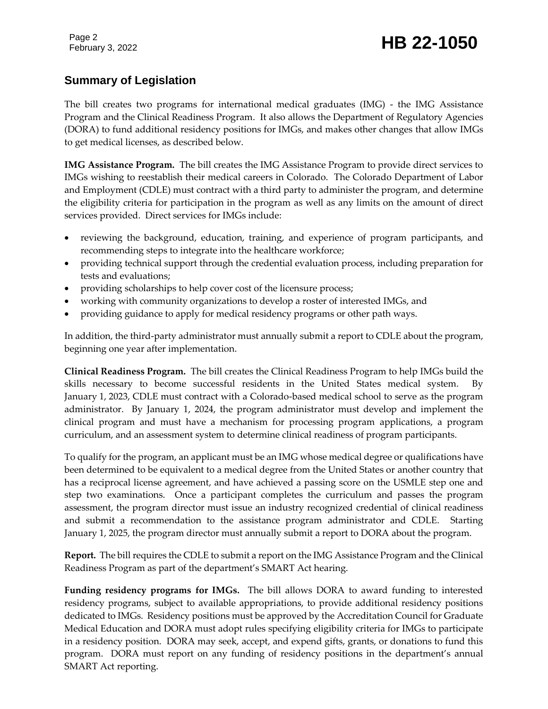## February 3, 2022 **HB 22-1050**

#### **Summary of Legislation**

The bill creates two programs for international medical graduates (IMG) - the IMG Assistance Program and the Clinical Readiness Program. It also allows the Department of Regulatory Agencies (DORA) to fund additional residency positions for IMGs, and makes other changes that allow IMGs to get medical licenses, as described below.

**IMG Assistance Program.** The bill creates the IMG Assistance Program to provide direct services to IMGs wishing to reestablish their medical careers in Colorado. The Colorado Department of Labor and Employment (CDLE) must contract with a third party to administer the program, and determine the eligibility criteria for participation in the program as well as any limits on the amount of direct services provided. Direct services for IMGs include:

- reviewing the background, education, training, and experience of program participants, and recommending steps to integrate into the healthcare workforce;
- providing technical support through the credential evaluation process, including preparation for tests and evaluations;
- providing scholarships to help cover cost of the licensure process;
- working with community organizations to develop a roster of interested IMGs, and
- providing guidance to apply for medical residency programs or other path ways.

In addition, the third-party administrator must annually submit a report to CDLE about the program, beginning one year after implementation.

**Clinical Readiness Program.** The bill creates the Clinical Readiness Program to help IMGs build the skills necessary to become successful residents in the United States medical system. By January 1, 2023, CDLE must contract with a Colorado-based medical school to serve as the program administrator. By January 1, 2024, the program administrator must develop and implement the clinical program and must have a mechanism for processing program applications, a program curriculum, and an assessment system to determine clinical readiness of program participants.

To qualify for the program, an applicant must be an IMG whose medical degree or qualifications have been determined to be equivalent to a medical degree from the United States or another country that has a reciprocal license agreement, and have achieved a passing score on the USMLE step one and step two examinations. Once a participant completes the curriculum and passes the program assessment, the program director must issue an industry recognized credential of clinical readiness and submit a recommendation to the assistance program administrator and CDLE. Starting January 1, 2025, the program director must annually submit a report to DORA about the program.

**Report.** The bill requires the CDLE to submit a report on the IMG Assistance Program and the Clinical Readiness Program as part of the department's SMART Act hearing.

**Funding residency programs for IMGs.** The bill allows DORA to award funding to interested residency programs, subject to available appropriations, to provide additional residency positions dedicated to IMGs. Residency positions must be approved by the Accreditation Council for Graduate Medical Education and DORA must adopt rules specifying eligibility criteria for IMGs to participate in a residency position. DORA may seek, accept, and expend gifts, grants, or donations to fund this program. DORA must report on any funding of residency positions in the department's annual SMART Act reporting.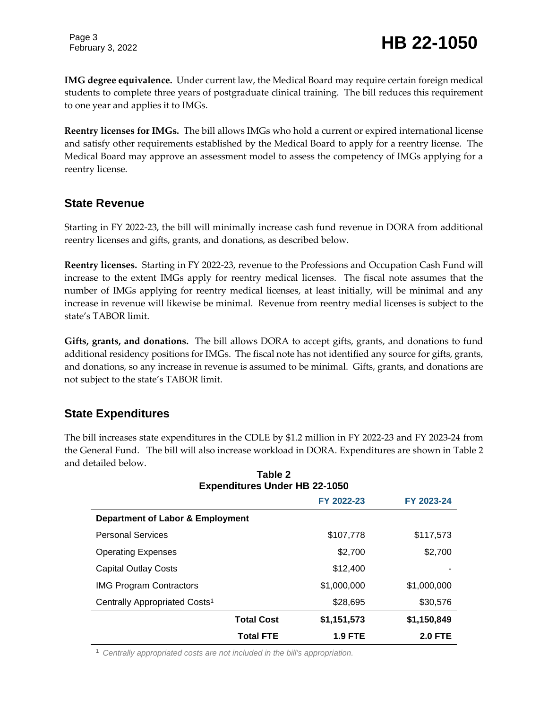Page 3

**IMG degree equivalence.** Under current law, the Medical Board may require certain foreign medical students to complete three years of postgraduate clinical training. The bill reduces this requirement to one year and applies it to IMGs.

**Reentry licenses for IMGs.** The bill allows IMGs who hold a current or expired international license and satisfy other requirements established by the Medical Board to apply for a reentry license. The Medical Board may approve an assessment model to assess the competency of IMGs applying for a reentry license.

#### **State Revenue**

Starting in FY 2022-23, the bill will minimally increase cash fund revenue in DORA from additional reentry licenses and gifts, grants, and donations, as described below.

**Reentry licenses.** Starting in FY 2022-23, revenue to the Professions and Occupation Cash Fund will increase to the extent IMGs apply for reentry medical licenses. The fiscal note assumes that the number of IMGs applying for reentry medical licenses, at least initially, will be minimal and any increase in revenue will likewise be minimal. Revenue from reentry medial licenses is subject to the state's TABOR limit.

**Gifts, grants, and donations.** The bill allows DORA to accept gifts, grants, and donations to fund additional residency positions for IMGs. The fiscal note has not identified any source for gifts, grants, and donations, so any increase in revenue is assumed to be minimal. Gifts, grants, and donations are not subject to the state's TABOR limit.

#### **State Expenditures**

The bill increases state expenditures in the CDLE by \$1.2 million in FY 2022-23 and FY 2023-24 from the General Fund. The bill will also increase workload in DORA. Expenditures are shown in Table 2 and detailed below. **Table 2**

| Table Z<br><b>Expenditures Under HB 22-1050</b> |                   |                |                |  |  |
|-------------------------------------------------|-------------------|----------------|----------------|--|--|
|                                                 |                   | FY 2022-23     | FY 2023-24     |  |  |
| Department of Labor & Employment                |                   |                |                |  |  |
| <b>Personal Services</b>                        |                   | \$107,778      | \$117,573      |  |  |
| <b>Operating Expenses</b>                       |                   | \$2,700        | \$2,700        |  |  |
| <b>Capital Outlay Costs</b>                     |                   | \$12,400       |                |  |  |
| <b>IMG Program Contractors</b>                  |                   | \$1,000,000    | \$1,000,000    |  |  |
| Centrally Appropriated Costs <sup>1</sup>       |                   | \$28,695       | \$30,576       |  |  |
|                                                 | <b>Total Cost</b> | \$1,151,573    | \$1,150,849    |  |  |
|                                                 | <b>Total FTE</b>  | <b>1.9 FTE</b> | <b>2.0 FTE</b> |  |  |

<sup>1</sup> *Centrally appropriated costs are not included in the bill's appropriation.*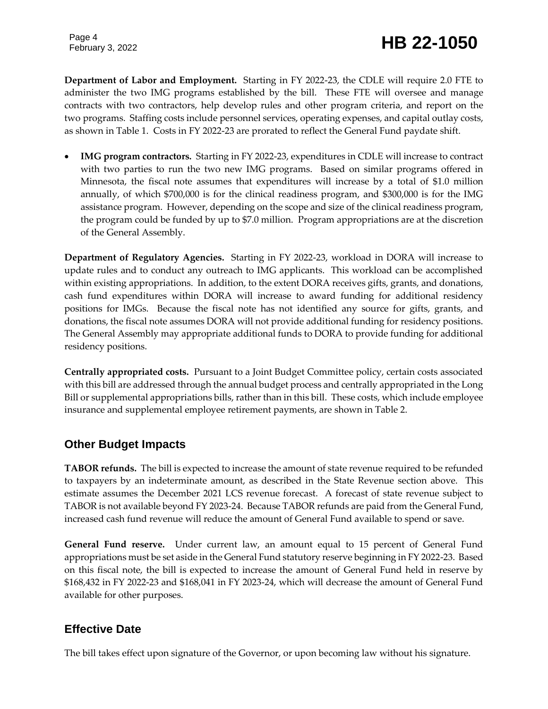Page 4

**Department of Labor and Employment.** Starting in FY 2022-23, the CDLE will require 2.0 FTE to administer the two IMG programs established by the bill. These FTE will oversee and manage contracts with two contractors, help develop rules and other program criteria, and report on the two programs. Staffing costs include personnel services, operating expenses, and capital outlay costs, as shown in Table 1. Costs in FY 2022-23 are prorated to reflect the General Fund paydate shift.

 **IMG program contractors.** Starting in FY 2022-23, expenditures in CDLE will increase to contract with two parties to run the two new IMG programs. Based on similar programs offered in Minnesota, the fiscal note assumes that expenditures will increase by a total of \$1.0 million annually, of which \$700,000 is for the clinical readiness program, and \$300,000 is for the IMG assistance program. However, depending on the scope and size of the clinical readiness program, the program could be funded by up to \$7.0 million. Program appropriations are at the discretion of the General Assembly.

**Department of Regulatory Agencies.** Starting in FY 2022-23, workload in DORA will increase to update rules and to conduct any outreach to IMG applicants. This workload can be accomplished within existing appropriations. In addition, to the extent DORA receives gifts, grants, and donations, cash fund expenditures within DORA will increase to award funding for additional residency positions for IMGs. Because the fiscal note has not identified any source for gifts, grants, and donations, the fiscal note assumes DORA will not provide additional funding for residency positions. The General Assembly may appropriate additional funds to DORA to provide funding for additional residency positions.

**Centrally appropriated costs.** Pursuant to a Joint Budget Committee policy, certain costs associated with this bill are addressed through the annual budget process and centrally appropriated in the Long Bill or supplemental appropriations bills, rather than in this bill. These costs, which include employee insurance and supplemental employee retirement payments, are shown in Table 2.

#### **Other Budget Impacts**

**TABOR refunds.** The bill is expected to increase the amount of state revenue required to be refunded to taxpayers by an indeterminate amount, as described in the State Revenue section above. This estimate assumes the December 2021 LCS revenue forecast. A forecast of state revenue subject to TABOR is not available beyond FY 2023-24. Because TABOR refunds are paid from the General Fund, increased cash fund revenue will reduce the amount of General Fund available to spend or save.

**General Fund reserve.** Under current law, an amount equal to 15 percent of General Fund appropriations must be set aside in the General Fund statutory reserve beginning in FY 2022-23. Based on this fiscal note, the bill is expected to increase the amount of General Fund held in reserve by \$168,432 in FY 2022-23 and \$168,041 in FY 2023-24, which will decrease the amount of General Fund available for other purposes.

#### **Effective Date**

The bill takes effect upon signature of the Governor, or upon becoming law without his signature.